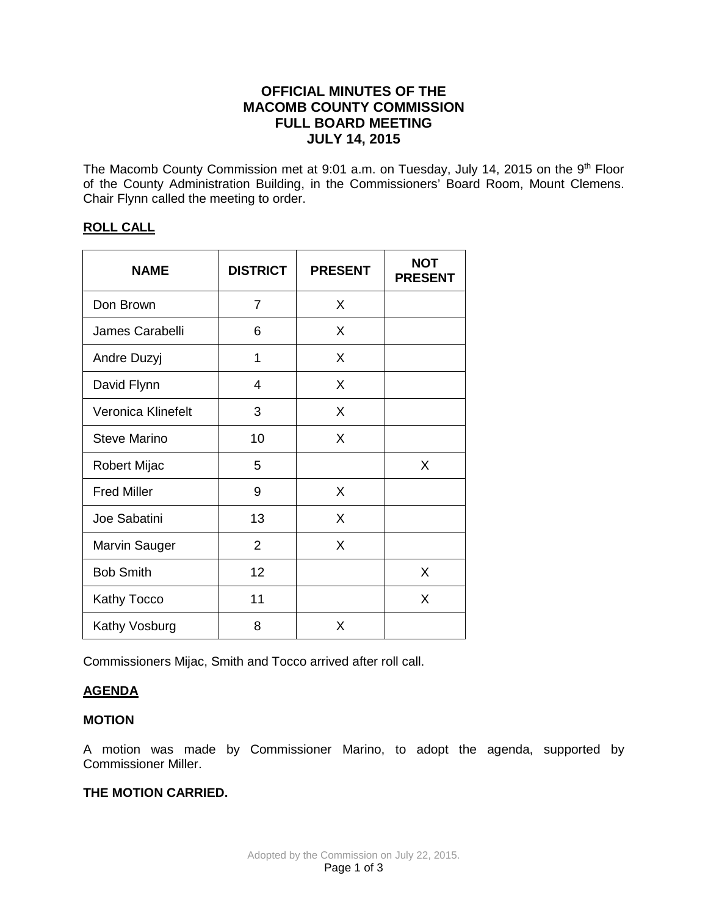# **OFFICIAL MINUTES OF THE MACOMB COUNTY COMMISSION FULL BOARD MEETING JULY 14, 2015**

The Macomb County Commission met at 9:01 a.m. on Tuesday, July 14, 2015 on the 9<sup>th</sup> Floor of the County Administration Building, in the Commissioners' Board Room, Mount Clemens. Chair Flynn called the meeting to order.

### **ROLL CALL**

| <b>NAME</b>          | <b>DISTRICT</b> | <b>PRESENT</b> | <b>NOT</b><br><b>PRESENT</b> |
|----------------------|-----------------|----------------|------------------------------|
| Don Brown            | 7               | X              |                              |
| James Carabelli      | 6               | X              |                              |
| Andre Duzyj          | 1               | X              |                              |
| David Flynn          | 4               | X              |                              |
| Veronica Klinefelt   | 3               | X              |                              |
| <b>Steve Marino</b>  | 10              | X              |                              |
| <b>Robert Mijac</b>  | 5               |                | X                            |
| <b>Fred Miller</b>   | 9               | X              |                              |
| Joe Sabatini         | 13              | X              |                              |
| <b>Marvin Sauger</b> | $\overline{2}$  | X              |                              |
| <b>Bob Smith</b>     | 12              |                | X                            |
| <b>Kathy Tocco</b>   | 11              |                | X                            |
| Kathy Vosburg        | 8               | X              |                              |

Commissioners Mijac, Smith and Tocco arrived after roll call.

# **AGENDA**

# **MOTION**

A motion was made by Commissioner Marino, to adopt the agenda, supported by Commissioner Miller.

# **THE MOTION CARRIED.**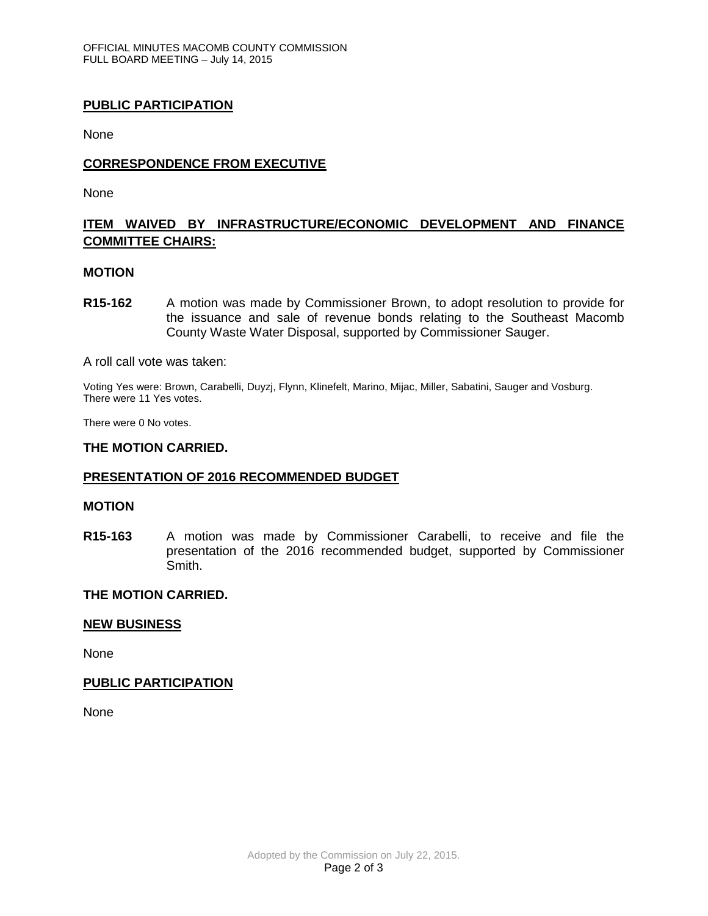### **PUBLIC PARTICIPATION**

None

### **CORRESPONDENCE FROM EXECUTIVE**

None

# **ITEM WAIVED BY INFRASTRUCTURE/ECONOMIC DEVELOPMENT AND FINANCE COMMITTEE CHAIRS:**

#### **MOTION**

**R15-162** A motion was made by Commissioner Brown, to adopt resolution to provide for the issuance and sale of revenue bonds relating to the Southeast Macomb County Waste Water Disposal, supported by Commissioner Sauger.

A roll call vote was taken:

Voting Yes were: Brown, Carabelli, Duyzj, Flynn, Klinefelt, Marino, Mijac, Miller, Sabatini, Sauger and Vosburg. There were 11 Yes votes.

There were 0 No votes.

#### **THE MOTION CARRIED.**

### **PRESENTATION OF 2016 RECOMMENDED BUDGET**

#### **MOTION**

**R15-163** A motion was made by Commissioner Carabelli, to receive and file the presentation of the 2016 recommended budget, supported by Commissioner Smith.

### **THE MOTION CARRIED.**

### **NEW BUSINESS**

None

### **PUBLIC PARTICIPATION**

None